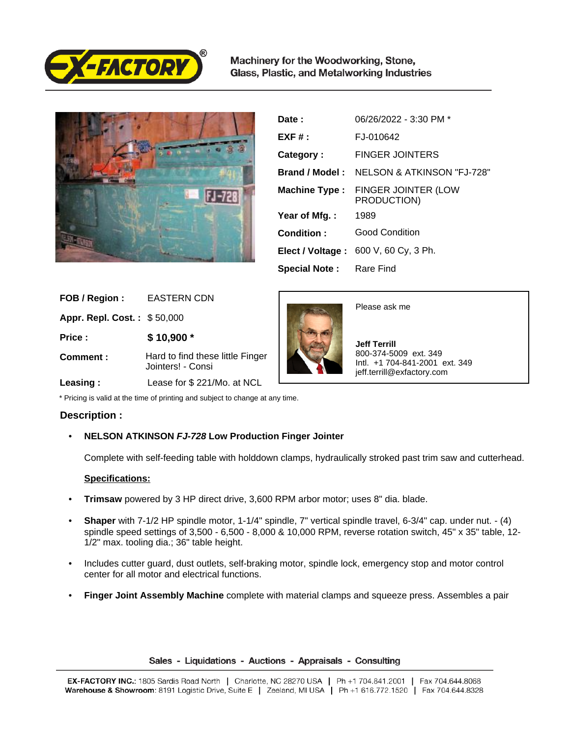

Machinery for the Woodworking, Stone, Glass, Plastic, and Metalworking Industries



| Date:                          | 06/26/2022 - 3:30 PM *                               |
|--------------------------------|------------------------------------------------------|
| $EXF#$ :                       | FJ-010642                                            |
| Category:                      | <b>FINGER JOINTERS</b>                               |
|                                | <b>Brand / Model: NELSON &amp; ATKINSON "FJ-728"</b> |
| <b>Machine Type:</b>           | <b>FINGER JOINTER (LOW</b><br>PRODUCTION)            |
| Year of Mfg.:                  | 1989                                                 |
| Condition:                     | <b>Good Condition</b>                                |
|                                | Elect / Voltage: 600 V, 60 Cy, 3 Ph.                 |
| <b>Special Note:</b> Rare Find |                                                      |

| FOB / Region:               | EASTERN CDN                                           |
|-----------------------------|-------------------------------------------------------|
| Appr. Repl. Cost.: \$50,000 |                                                       |
| Price:                      | $$10,900*$                                            |
| Comment:                    | Hard to find these little Finger<br>Jointers! - Consi |
| Leasing:                    | Lease for \$ 221/Mo. at NCL                           |



## **Description :**

• **NELSON ATKINSON FJ-728 Low Production Finger Jointer**

Complete with self-feeding table with holddown clamps, hydraulically stroked past trim saw and cutterhead.

## **Specifications:**

- **Trimsaw** powered by 3 HP direct drive, 3,600 RPM arbor motor; uses 8" dia. blade.
- **Shaper** with 7-1/2 HP spindle motor, 1-1/4" spindle, 7" vertical spindle travel, 6-3/4" cap. under nut. (4) spindle speed settings of 3,500 - 6,500 - 8,000 & 10,000 RPM, reverse rotation switch, 45" x 35" table, 12- 1/2" max. tooling dia.; 36" table height.
- Includes cutter guard, dust outlets, self-braking motor, spindle lock, emergency stop and motor control center for all motor and electrical functions.
- **Finger Joint Assembly Machine** complete with material clamps and squeeze press. Assembles a pair

Sales - Liquidations - Auctions - Appraisals - Consulting



Please ask me

 **Jeff Terrill** 800-374-5009 ext. 349 Intl. +1 704-841-2001 ext. 349 jeff.terrill@exfactory.com